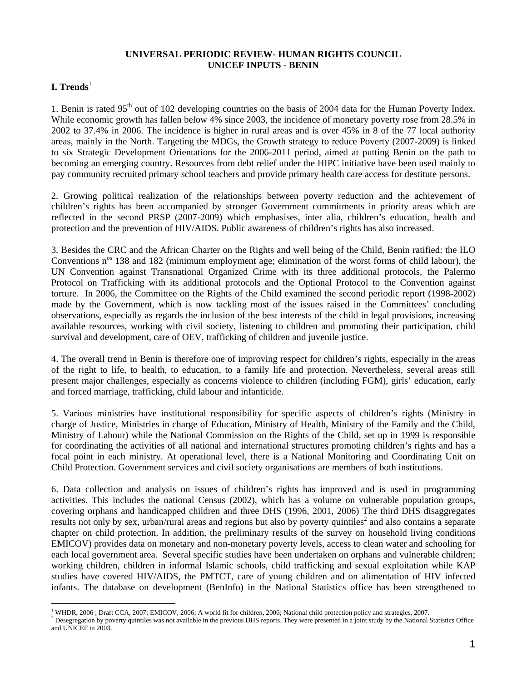## **UNIVERSAL PERIODIC REVIEW- HUMAN RIGHTS COUNCIL UNICEF INPUTS - BENIN**

## **Trends<sup>1</sup>**

<u>.</u>

1. Benin is rated 95<sup>th</sup> out of 102 developing countries on the basis of 2004 data for the Human Poverty Index. While economic growth has fallen below 4% since 2003, the incidence of monetary poverty rose from 28.5% in 2002 to 37.4% in 2006. The incidence is higher in rural areas and is over 45% in 8 of the 77 local authority areas, mainly in the North. Targeting the MDGs, the Growth strategy to reduce Poverty (2007-2009) is linked to six Strategic Development Orientations for the 2006-2011 period, aimed at putting Benin on the path to becoming an emerging country. Resources from debt relief under the HIPC initiative have been used mainly to pay community recruited primary school teachers and provide primary health care access for destitute persons.

2. Growing political realization of the relationships between poverty reduction and the achievement of children's rights has been accompanied by stronger Government commitments in priority areas which are reflected in the second PRSP (2007-2009) which emphasises, inter alia, children's education, health and protection and the prevention of HIV/AIDS. Public awareness of children's rights has also increased.

3. Besides the CRC and the African Charter on the Rights and well being of the Child, Benin ratified: the ILO Conventions  $n^{\text{os}}$  138 and 182 (minimum employment age; elimination of the worst forms of child labour), the UN Convention against Transnational Organized Crime with its three additional protocols, the Palermo Protocol on Trafficking with its additional protocols and the Optional Protocol to the Convention against torture. In 2006, the Committee on the Rights of the Child examined the second periodic report (1998-2002) made by the Government, which is now tackling most of the issues raised in the Committees' concluding observations, especially as regards the inclusion of the best interests of the child in legal provisions, increasing available resources, working with civil society, listening to children and promoting their participation, child survival and development, care of OEV, trafficking of children and juvenile justice.

4. The overall trend in Benin is therefore one of improving respect for children's rights, especially in the areas of the right to life, to health, to education, to a family life and protection. Nevertheless, several areas still present major challenges, especially as concerns violence to children (including FGM), girls' education, early and forced marriage, trafficking, child labour and infanticide.

5. Various ministries have institutional responsibility for specific aspects of children's rights (Ministry in charge of Justice, Ministries in charge of Education, Ministry of Health, Ministry of the Family and the Child, Ministry of Labour) while the National Commission on the Rights of the Child, set up in 1999 is responsible for coordinating the activities of all national and international structures promoting children's rights and has a focal point in each ministry. At operational level, there is a National Monitoring and Coordinating Unit on Child Protection. Government services and civil society organisations are members of both institutions.

6. Data collection and analysis on issues of children's rights has improved and is used in programming activities. This includes the national Census (2002), which has a volume on vulnerable population groups, covering orphans and handicapped children and three DHS (1996, 2001, 2006) The third DHS disaggregates results not only by sex, urban/rural areas and regions but also by poverty quintiles<sup>2</sup> and also contains a separate chapter on child protection. In addition, the preliminary results of the survey on household living conditions EMICOV) provides data on monetary and non-monetary poverty levels, access to clean water and schooling for each local government area. Several specific studies have been undertaken on orphans and vulnerable children; working children, children in informal Islamic schools, child trafficking and sexual exploitation while KAP studies have covered HIV/AIDS, the PMTCT, care of young children and on alimentation of HIV infected infants. The database on development (BenInfo) in the National Statistics office has been strengthened to

<sup>&</sup>lt;sup>1</sup> WHDR, 2006; Draft CCA, 2007; EMICOV, 2006; A world fit for children, 2006; National child protection policy and strategies, 2007.

 $^2$  Desegregation by poverty quintiles was not available in the previous DHS reports. They were presented in a joint study by the National Statistics Office and UNICEF in 2003.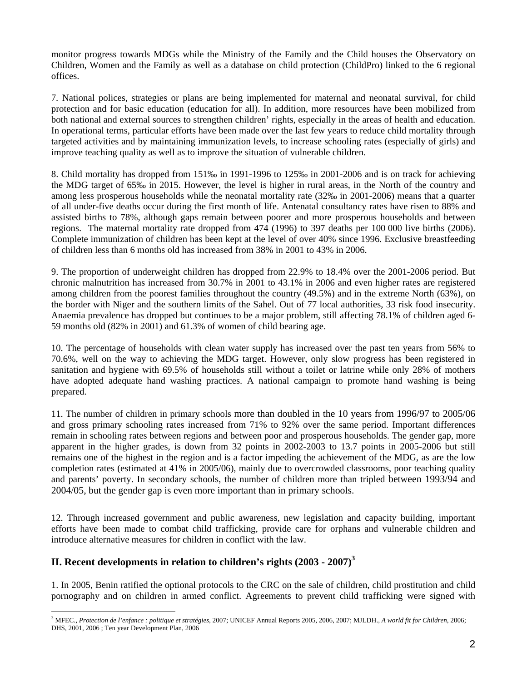monitor progress towards MDGs while the Ministry of the Family and the Child houses the Observatory on Children, Women and the Family as well as a database on child protection (ChildPro) linked to the 6 regional offices.

7. National polices, strategies or plans are being implemented for maternal and neonatal survival, for child protection and for basic education (education for all). In addition, more resources have been mobilized from both national and external sources to strengthen children' rights, especially in the areas of health and education. In operational terms, particular efforts have been made over the last few years to reduce child mortality through targeted activities and by maintaining immunization levels, to increase schooling rates (especially of girls) and improve teaching quality as well as to improve the situation of vulnerable children.

8. Child mortality has dropped from 151‰ in 1991-1996 to 125‰ in 2001-2006 and is on track for achieving the MDG target of 65‰ in 2015. However, the level is higher in rural areas, in the North of the country and among less prosperous households while the neonatal mortality rate (32‰ in 2001-2006) means that a quarter of all under-five deaths occur during the first month of life. Antenatal consultancy rates have risen to 88% and assisted births to 78%, although gaps remain between poorer and more prosperous households and between regions. The maternal mortality rate dropped from 474 (1996) to 397 deaths per 100 000 live births (2006). Complete immunization of children has been kept at the level of over 40% since 1996. Exclusive breastfeeding of children less than 6 months old has increased from 38% in 2001 to 43% in 2006.

9. The proportion of underweight children has dropped from 22.9% to 18.4% over the 2001-2006 period. But chronic malnutrition has increased from 30.7% in 2001 to 43.1% in 2006 and even higher rates are registered among children from the poorest families throughout the country (49.5%) and in the extreme North (63%), on the border with Niger and the southern limits of the Sahel. Out of 77 local authorities, 33 risk food insecurity. Anaemia prevalence has dropped but continues to be a major problem, still affecting 78.1% of children aged 6- 59 months old (82% in 2001) and 61.3% of women of child bearing age.

10. The percentage of households with clean water supply has increased over the past ten years from 56% to 70.6%, well on the way to achieving the MDG target. However, only slow progress has been registered in sanitation and hygiene with 69.5% of households still without a toilet or latrine while only 28% of mothers have adopted adequate hand washing practices. A national campaign to promote hand washing is being prepared.

11. The number of children in primary schools more than doubled in the 10 years from 1996/97 to 2005/06 and gross primary schooling rates increased from 71% to 92% over the same period. Important differences remain in schooling rates between regions and between poor and prosperous households. The gender gap, more apparent in the higher grades, is down from 32 points in 2002-2003 to 13.7 points in 2005-2006 but still remains one of the highest in the region and is a factor impeding the achievement of the MDG, as are the low completion rates (estimated at 41% in 2005/06), mainly due to overcrowded classrooms, poor teaching quality and parents' poverty. In secondary schools, the number of children more than tripled between 1993/94 and 2004/05, but the gender gap is even more important than in primary schools.

12. Through increased government and public awareness, new legislation and capacity building, important efforts have been made to combat child trafficking, provide care for orphans and vulnerable children and introduce alternative measures for children in conflict with the law.

## **II. Recent developments in relation to children's rights (2003 - 2007)<sup>3</sup>**

1. In 2005, Benin ratified the optional protocols to the CRC on the sale of children, child prostitution and child pornography and on children in armed conflict. Agreements to prevent child trafficking were signed with

<sup>1</sup> 3 MFEC., *Protection de l'enfance : politique et stratégies,* 2007; UNICEF Annual Reports 2005, 2006, 2007; MJLDH., *A world fit for Children*, 2006; DHS, 2001, 2006 ; Ten year Development Plan, 2006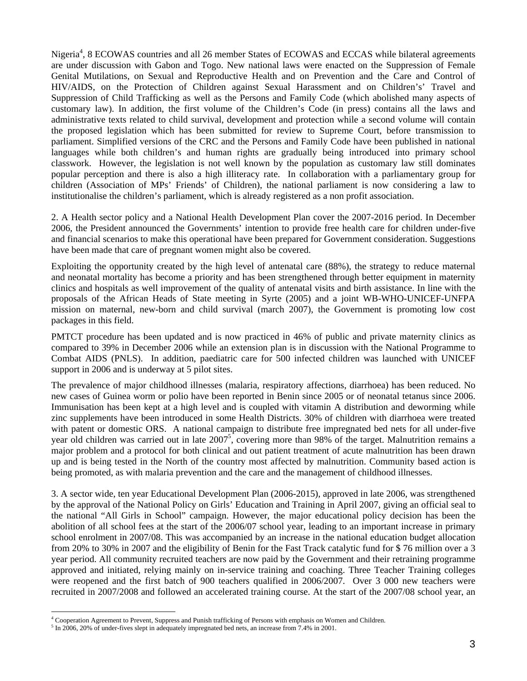Nigeria<sup>4</sup>, 8 ECOWAS countries and all 26 member States of ECOWAS and ECCAS while bilateral agreements are under discussion with Gabon and Togo. New national laws were enacted on the Suppression of Female Genital Mutilations, on Sexual and Reproductive Health and on Prevention and the Care and Control of HIV/AIDS, on the Protection of Children against Sexual Harassment and on Children's' Travel and Suppression of Child Trafficking as well as the Persons and Family Code (which abolished many aspects of customary law). In addition, the first volume of the Children's Code (in press) contains all the laws and administrative texts related to child survival, development and protection while a second volume will contain the proposed legislation which has been submitted for review to Supreme Court, before transmission to parliament. Simplified versions of the CRC and the Persons and Family Code have been published in national languages while both children's and human rights are gradually being introduced into primary school classwork. However, the legislation is not well known by the population as customary law still dominates popular perception and there is also a high illiteracy rate. In collaboration with a parliamentary group for children (Association of MPs' Friends' of Children), the national parliament is now considering a law to institutionalise the children's parliament, which is already registered as a non profit association.

2. A Health sector policy and a National Health Development Plan cover the 2007-2016 period. In December 2006, the President announced the Governments' intention to provide free health care for children under-five and financial scenarios to make this operational have been prepared for Government consideration. Suggestions have been made that care of pregnant women might also be covered.

Exploiting the opportunity created by the high level of antenatal care (88%), the strategy to reduce maternal and neonatal mortality has become a priority and has been strengthened through better equipment in maternity clinics and hospitals as well improvement of the quality of antenatal visits and birth assistance. In line with the proposals of the African Heads of State meeting in Syrte (2005) and a joint WB-WHO-UNICEF-UNFPA mission on maternal, new-born and child survival (march 2007), the Government is promoting low cost packages in this field.

PMTCT procedure has been updated and is now practiced in 46% of public and private maternity clinics as compared to 39% in December 2006 while an extension plan is in discussion with the National Programme to Combat AIDS (PNLS). In addition, paediatric care for 500 infected children was launched with UNICEF support in 2006 and is underway at 5 pilot sites.

The prevalence of major childhood illnesses (malaria, respiratory affections, diarrhoea) has been reduced. No new cases of Guinea worm or polio have been reported in Benin since 2005 or of neonatal tetanus since 2006. Immunisation has been kept at a high level and is coupled with vitamin A distribution and deworming while zinc supplements have been introduced in some Health Districts. 30% of children with diarrhoea were treated with patent or domestic ORS. A national campaign to distribute free impregnated bed nets for all under-five year old children was carried out in late  $2007^5$ , covering more than 98% of the target. Malnutrition remains a major problem and a protocol for both clinical and out patient treatment of acute malnutrition has been drawn up and is being tested in the North of the country most affected by malnutrition. Community based action is being promoted, as with malaria prevention and the care and the management of childhood illnesses.

3. A sector wide, ten year Educational Development Plan (2006-2015), approved in late 2006, was strengthened by the approval of the National Policy on Girls' Education and Training in April 2007, giving an official seal to the national "All Girls in School" campaign. However, the major educational policy decision has been the abolition of all school fees at the start of the 2006/07 school year, leading to an important increase in primary school enrolment in 2007/08. This was accompanied by an increase in the national education budget allocation from 20% to 30% in 2007 and the eligibility of Benin for the Fast Track catalytic fund for \$ 76 million over a 3 year period. All community recruited teachers are now paid by the Government and their retraining programme approved and initiated, relying mainly on in-service training and coaching. Three Teacher Training colleges were reopened and the first batch of 900 teachers qualified in 2006/2007. Over 3 000 new teachers were recruited in 2007/2008 and followed an accelerated training course. At the start of the 2007/08 school year, an

1

<sup>&</sup>lt;sup>4</sup> Cooperation Agreement to Prevent, Suppress and Punish trafficking of Persons with emphasis on Women and Children.<br><sup>5</sup> In 2006, 2006, of under five alort in edeautely impresented hed note on increase from 7.40% in 2001

 $<sup>5</sup>$  In 2006, 20% of under-fives slept in adequately impregnated bed nets, an increase from 7.4% in 2001.</sup>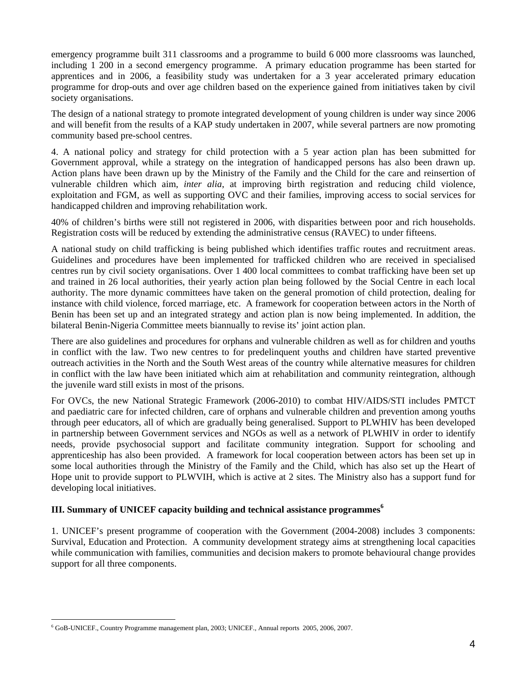emergency programme built 311 classrooms and a programme to build 6 000 more classrooms was launched, including 1 200 in a second emergency programme. A primary education programme has been started for apprentices and in 2006, a feasibility study was undertaken for a 3 year accelerated primary education programme for drop-outs and over age children based on the experience gained from initiatives taken by civil society organisations.

The design of a national strategy to promote integrated development of young children is under way since 2006 and will benefit from the results of a KAP study undertaken in 2007, while several partners are now promoting community based pre-school centres.

4. A national policy and strategy for child protection with a 5 year action plan has been submitted for Government approval, while a strategy on the integration of handicapped persons has also been drawn up. Action plans have been drawn up by the Ministry of the Family and the Child for the care and reinsertion of vulnerable children which aim, *inter alia*, at improving birth registration and reducing child violence, exploitation and FGM, as well as supporting OVC and their families, improving access to social services for handicapped children and improving rehabilitation work.

40% of children's births were still not registered in 2006, with disparities between poor and rich households. Registration costs will be reduced by extending the administrative census (RAVEC) to under fifteens.

A national study on child trafficking is being published which identifies traffic routes and recruitment areas. Guidelines and procedures have been implemented for trafficked children who are received in specialised centres run by civil society organisations. Over 1 400 local committees to combat trafficking have been set up and trained in 26 local authorities, their yearly action plan being followed by the Social Centre in each local authority. The more dynamic committees have taken on the general promotion of child protection, dealing for instance with child violence, forced marriage, etc. A framework for cooperation between actors in the North of Benin has been set up and an integrated strategy and action plan is now being implemented. In addition, the bilateral Benin-Nigeria Committee meets biannually to revise its' joint action plan.

There are also guidelines and procedures for orphans and vulnerable children as well as for children and youths in conflict with the law. Two new centres to for predelinquent youths and children have started preventive outreach activities in the North and the South West areas of the country while alternative measures for children in conflict with the law have been initiated which aim at rehabilitation and community reintegration, although the juvenile ward still exists in most of the prisons.

For OVCs, the new National Strategic Framework (2006-2010) to combat HIV/AIDS/STI includes PMTCT and paediatric care for infected children, care of orphans and vulnerable children and prevention among youths through peer educators, all of which are gradually being generalised. Support to PLWHIV has been developed in partnership between Government services and NGOs as well as a network of PLWHIV in order to identify needs, provide psychosocial support and facilitate community integration. Support for schooling and apprenticeship has also been provided. A framework for local cooperation between actors has been set up in some local authorities through the Ministry of the Family and the Child, which has also set up the Heart of Hope unit to provide support to PLWVIH, which is active at 2 sites. The Ministry also has a support fund for developing local initiatives.

## **III. Summary of UNICEF capacity building and technical assistance programmes<sup>6</sup>**

1. UNICEF's present programme of cooperation with the Government (2004-2008) includes 3 components: Survival, Education and Protection. A community development strategy aims at strengthening local capacities while communication with families, communities and decision makers to promote behavioural change provides support for all three components.

<u>.</u>

<sup>6</sup> GoB-UNICEF., Country Programme management plan, 2003; UNICEF., Annual reports 2005, 2006, 2007.